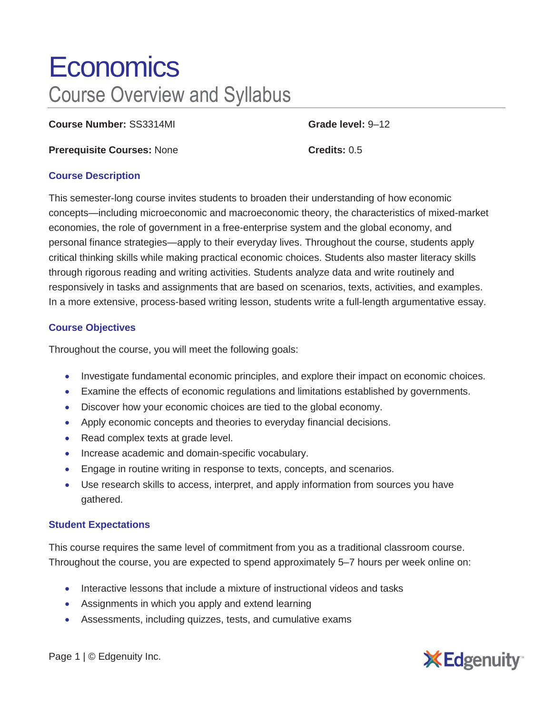# **Economics** Course Overview and Syllabus

**Course Number:** SS3314MI **Grade level:** 9–12

**Prerequisite Courses:** None **Credits:** 0.5

### **Course Description**

This semester-long course invites students to broaden their understanding of how economic concepts—including microeconomic and macroeconomic theory, the characteristics of mixed-market economies, the role of government in a free-enterprise system and the global economy, and personal finance strategies—apply to their everyday lives. Throughout the course, students apply critical thinking skills while making practical economic choices. Students also master literacy skills through rigorous reading and writing activities. Students analyze data and write routinely and responsively in tasks and assignments that are based on scenarios, texts, activities, and examples. In a more extensive, process-based writing lesson, students write a full-length argumentative essay.

## **Course Objectives**

Throughout the course, you will meet the following goals:

- Investigate fundamental economic principles, and explore their impact on economic choices.
- Examine the effects of economic regulations and limitations established by governments.
- Discover how your economic choices are tied to the global economy.
- Apply economic concepts and theories to everyday financial decisions.
- Read complex texts at grade level.
- Increase academic and domain-specific vocabulary.
- Engage in routine writing in response to texts, concepts, and scenarios.
- Use research skills to access, interpret, and apply information from sources you have gathered.

#### **Student Expectations**

This course requires the same level of commitment from you as a traditional classroom course. Throughout the course, you are expected to spend approximately 5–7 hours per week online on:

- Interactive lessons that include a mixture of instructional videos and tasks
- Assignments in which you apply and extend learning
- Assessments, including quizzes, tests, and cumulative exams



Page 1 | © Edgenuity Inc.